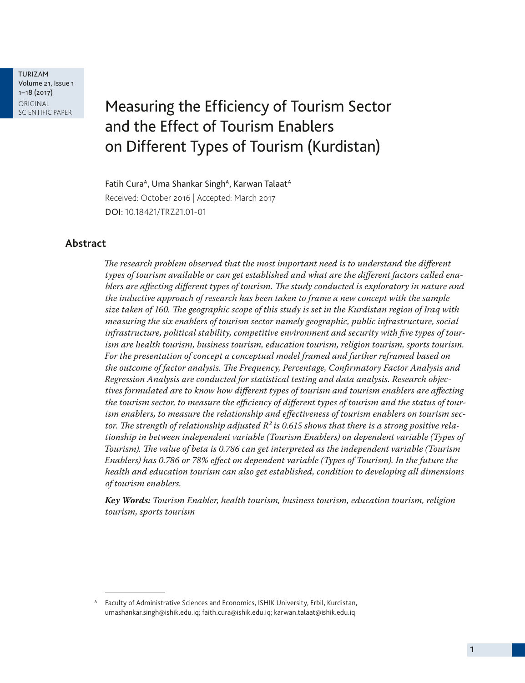TURIZAM Volume 21, Issue 1 1–18 (2017) ORIGINAL<br>SCIENTIFIC PAPER

# Measuring the Efficiency of Tourism Sector and the Effect of Tourism Enablers on Different Types of Tourism (Kurdistan)

Fatih Cura<sup>A</sup>, Uma Shankar Singh<sup>A</sup>, Karwan Talaat<sup>A</sup> Received: October 2016 | Accepted: March 2017 DOI: 10.18421/TRZ21.01-01

### **Abstract**

*The research problem observed that the most important need is to understand the different types of tourism available or can get established and what are the different factors called enablers are affecting different types of tourism. The study conducted is exploratory in nature and the inductive approach of research has been taken to frame a new concept with the sample size taken of 160. The geographic scope of this study is set in the Kurdistan region of Iraq with measuring the six enablers of tourism sector namely geographic, public infrastructure, social infrastructure, political stability, competitive environment and security with five types of tourism are health tourism, business tourism, education tourism, religion tourism, sports tourism. For the presentation of concept a conceptual model framed and further reframed based on the outcome of factor analysis. The Frequency, Percentage, Confirmatory Factor Analysis and Regression Analysis are conducted for statistical testing and data analysis. Research objectives formulated are to know how different types of tourism and tourism enablers are affecting the tourism sector, to measure the efficiency of different types of tourism and the status of tourism enablers, to measure the relationship and effectiveness of tourism enablers on tourism sec*tor. The strength of relationship adjusted  $R^2$  is 0.615 shows that there is a strong positive rela*tionship in between independent variable (Tourism Enablers) on dependent variable (Types of Tourism). The value of beta is 0.786 can get interpreted as the independent variable (Tourism Enablers) has 0.786 or 78% effect on dependent variable (Types of Tourism). In the future the health and education tourism can also get established, condition to developing all dimensions of tourism enablers.*

*Key Words: Tourism Enabler, health tourism, business tourism, education tourism, religion tourism, sports tourism* 

A Faculty of Administrative Sciences and Economics, ISHIK University, Erbil, Kurdistan, umashankar.singh@ishik.edu.iq; faith.cura@ishik.edu.iq; karwan.talaat@ishik.edu.iq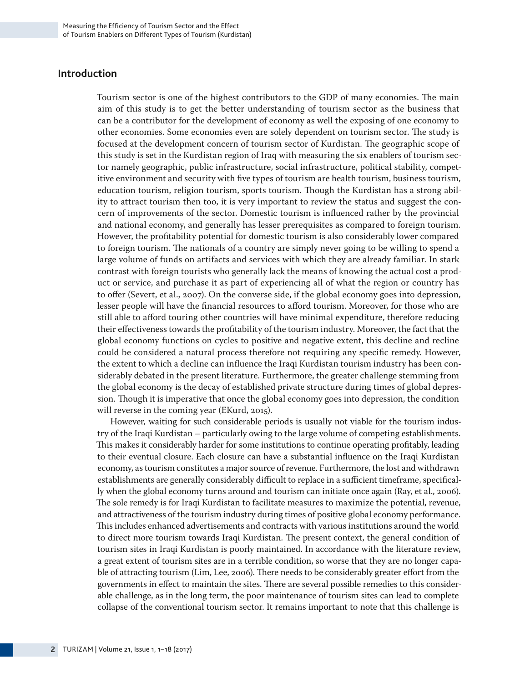### **Introduction**

Tourism sector is one of the highest contributors to the GDP of many economies. The main aim of this study is to get the better understanding of tourism sector as the business that can be a contributor for the development of economy as well the exposing of one economy to other economies. Some economies even are solely dependent on tourism sector. The study is focused at the development concern of tourism sector of Kurdistan. The geographic scope of this study is set in the Kurdistan region of Iraq with measuring the six enablers of tourism sector namely geographic, public infrastructure, social infrastructure, political stability, competitive environment and security with five types of tourism are health tourism, business tourism, education tourism, religion tourism, sports tourism. Though the Kurdistan has a strong ability to attract tourism then too, it is very important to review the status and suggest the concern of improvements of the sector. Domestic tourism is influenced rather by the provincial and national economy, and generally has lesser prerequisites as compared to foreign tourism. However, the profitability potential for domestic tourism is also considerably lower compared to foreign tourism. The nationals of a country are simply never going to be willing to spend a large volume of funds on artifacts and services with which they are already familiar. In stark contrast with foreign tourists who generally lack the means of knowing the actual cost a product or service, and purchase it as part of experiencing all of what the region or country has to offer (Severt, et al., 2007). On the converse side, if the global economy goes into depression, lesser people will have the financial resources to afford tourism. Moreover, for those who are still able to afford touring other countries will have minimal expenditure, therefore reducing their effectiveness towards the profitability of the tourism industry. Moreover, the fact that the global economy functions on cycles to positive and negative extent, this decline and recline could be considered a natural process therefore not requiring any specific remedy. However, the extent to which a decline can influence the Iraqi Kurdistan tourism industry has been considerably debated in the present literature. Furthermore, the greater challenge stemming from the global economy is the decay of established private structure during times of global depression. Though it is imperative that once the global economy goes into depression, the condition will reverse in the coming year (EKurd, 2015).

However, waiting for such considerable periods is usually not viable for the tourism industry of the Iraqi Kurdistan – particularly owing to the large volume of competing establishments. This makes it considerably harder for some institutions to continue operating profitably, leading to their eventual closure. Each closure can have a substantial influence on the Iraqi Kurdistan economy, as tourism constitutes a major source of revenue. Furthermore, the lost and withdrawn establishments are generally considerably difficult to replace in a sufficient timeframe, specifically when the global economy turns around and tourism can initiate once again (Ray, et al., 2006). The sole remedy is for Iraqi Kurdistan to facilitate measures to maximize the potential, revenue, and attractiveness of the tourism industry during times of positive global economy performance. This includes enhanced advertisements and contracts with various institutions around the world to direct more tourism towards Iraqi Kurdistan. The present context, the general condition of tourism sites in Iraqi Kurdistan is poorly maintained. In accordance with the literature review, a great extent of tourism sites are in a terrible condition, so worse that they are no longer capable of attracting tourism (Lim, Lee, 2006). There needs to be considerably greater effort from the governments in effect to maintain the sites. There are several possible remedies to this considerable challenge, as in the long term, the poor maintenance of tourism sites can lead to complete collapse of the conventional tourism sector. It remains important to note that this challenge is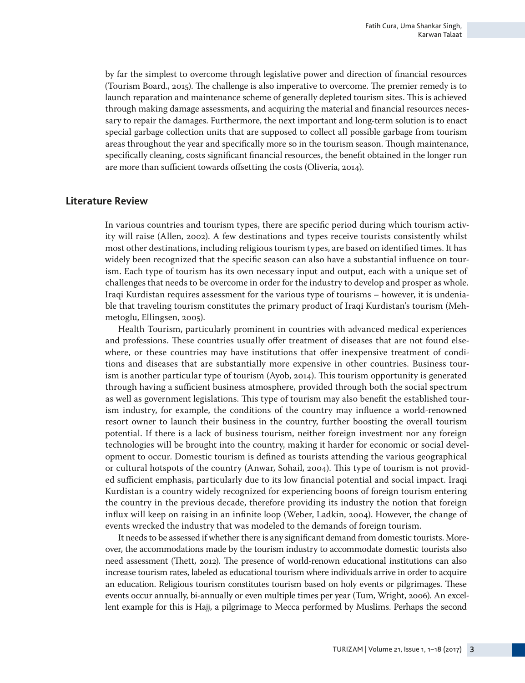by far the simplest to overcome through legislative power and direction of financial resources (Tourism Board., 2015). The challenge is also imperative to overcome. The premier remedy is to launch reparation and maintenance scheme of generally depleted tourism sites. This is achieved through making damage assessments, and acquiring the material and financial resources necessary to repair the damages. Furthermore, the next important and long-term solution is to enact special garbage collection units that are supposed to collect all possible garbage from tourism areas throughout the year and specifically more so in the tourism season. Though maintenance, specifically cleaning, costs significant financial resources, the benefit obtained in the longer run are more than sufficient towards offsetting the costs (Oliveria, 2014).

### **Literature Review**

In various countries and tourism types, there are specific period during which tourism activity will raise (Allen, 2002). A few destinations and types receive tourists consistently whilst most other destinations, including religious tourism types, are based on identified times. It has widely been recognized that the specific season can also have a substantial influence on tourism. Each type of tourism has its own necessary input and output, each with a unique set of challenges that needs to be overcome in order for the industry to develop and prosper as whole. Iraqi Kurdistan requires assessment for the various type of tourisms – however, it is undeniable that traveling tourism constitutes the primary product of Iraqi Kurdistan's tourism (Mehmetoglu, Ellingsen, 2005).

Health Tourism, particularly prominent in countries with advanced medical experiences and professions. These countries usually offer treatment of diseases that are not found elsewhere, or these countries may have institutions that offer inexpensive treatment of conditions and diseases that are substantially more expensive in other countries. Business tourism is another particular type of tourism (Ayob, 2014). This tourism opportunity is generated through having a sufficient business atmosphere, provided through both the social spectrum as well as government legislations. This type of tourism may also benefit the established tourism industry, for example, the conditions of the country may influence a world-renowned resort owner to launch their business in the country, further boosting the overall tourism potential. If there is a lack of business tourism, neither foreign investment nor any foreign technologies will be brought into the country, making it harder for economic or social development to occur. Domestic tourism is defined as tourists attending the various geographical or cultural hotspots of the country (Anwar, Sohail, 2004). This type of tourism is not provided sufficient emphasis, particularly due to its low financial potential and social impact. Iraqi Kurdistan is a country widely recognized for experiencing boons of foreign tourism entering the country in the previous decade, therefore providing its industry the notion that foreign influx will keep on raising in an infinite loop (Weber, Ladkin, 2004). However, the change of events wrecked the industry that was modeled to the demands of foreign tourism.

It needs to be assessed if whether there is any significant demand from domestic tourists. Moreover, the accommodations made by the tourism industry to accommodate domestic tourists also need assessment (Thett, 2012). The presence of world-renown educational institutions can also increase tourism rates, labeled as educational tourism where individuals arrive in order to acquire an education. Religious tourism constitutes tourism based on holy events or pilgrimages. These events occur annually, bi-annually or even multiple times per year (Tum, Wright, 2006). An excellent example for this is Hajj, a pilgrimage to Mecca performed by Muslims. Perhaps the second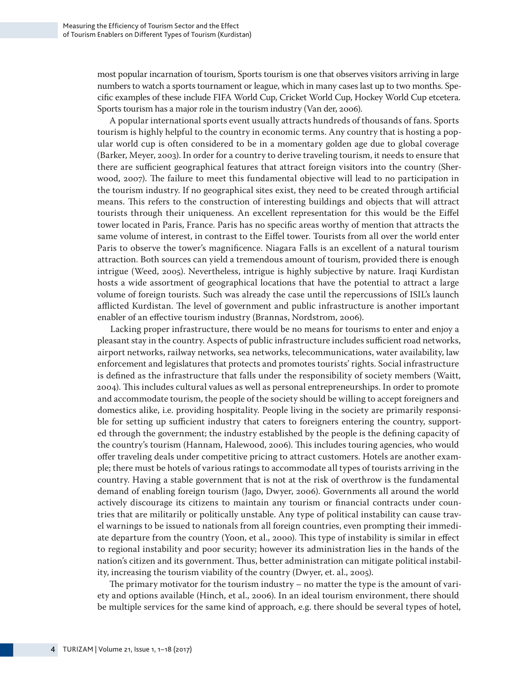most popular incarnation of tourism, Sports tourism is one that observes visitors arriving in large numbers to watch a sports tournament or league, which in many cases last up to two months. Specific examples of these include FIFA World Cup, Cricket World Cup, Hockey World Cup etcetera. Sports tourism has a major role in the tourism industry (Van der, 2006).

A popular international sports event usually attracts hundreds of thousands of fans. Sports tourism is highly helpful to the country in economic terms. Any country that is hosting a popular world cup is often considered to be in a momentary golden age due to global coverage (Barker, Meyer, 2003). In order for a country to derive traveling tourism, it needs to ensure that there are sufficient geographical features that attract foreign visitors into the country (Sherwood, 2007). The failure to meet this fundamental objective will lead to no participation in the tourism industry. If no geographical sites exist, they need to be created through artificial means. This refers to the construction of interesting buildings and objects that will attract tourists through their uniqueness. An excellent representation for this would be the Eiffel tower located in Paris, France. Paris has no specific areas worthy of mention that attracts the same volume of interest, in contrast to the Eiffel tower. Tourists from all over the world enter Paris to observe the tower's magnificence. Niagara Falls is an excellent of a natural tourism attraction. Both sources can yield a tremendous amount of tourism, provided there is enough intrigue (Weed, 2005). Nevertheless, intrigue is highly subjective by nature. Iraqi Kurdistan hosts a wide assortment of geographical locations that have the potential to attract a large volume of foreign tourists. Such was already the case until the repercussions of ISIL's launch afflicted Kurdistan. The level of government and public infrastructure is another important enabler of an effective tourism industry (Brannas, Nordstrom, 2006).

Lacking proper infrastructure, there would be no means for tourisms to enter and enjoy a pleasant stay in the country. Aspects of public infrastructure includes sufficient road networks, airport networks, railway networks, sea networks, telecommunications, water availability, law enforcement and legislatures that protects and promotes tourists' rights. Social infrastructure is defined as the infrastructure that falls under the responsibility of society members (Waitt, 2004). This includes cultural values as well as personal entrepreneurships. In order to promote and accommodate tourism, the people of the society should be willing to accept foreigners and domestics alike, i.e. providing hospitality. People living in the society are primarily responsible for setting up sufficient industry that caters to foreigners entering the country, supported through the government; the industry established by the people is the defining capacity of the country's tourism (Hannam, Halewood, 2006). This includes touring agencies, who would offer traveling deals under competitive pricing to attract customers. Hotels are another example; there must be hotels of various ratings to accommodate all types of tourists arriving in the country. Having a stable government that is not at the risk of overthrow is the fundamental demand of enabling foreign tourism (Jago, Dwyer, 2006). Governments all around the world actively discourage its citizens to maintain any tourism or financial contracts under countries that are militarily or politically unstable. Any type of political instability can cause travel warnings to be issued to nationals from all foreign countries, even prompting their immediate departure from the country (Yoon, et al., 2000). This type of instability is similar in effect to regional instability and poor security; however its administration lies in the hands of the nation's citizen and its government. Thus, better administration can mitigate political instability, increasing the tourism viability of the country (Dwyer, et. al., 2005).

The primary motivator for the tourism industry – no matter the type is the amount of variety and options available (Hinch, et al., 2006). In an ideal tourism environment, there should be multiple services for the same kind of approach, e.g. there should be several types of hotel,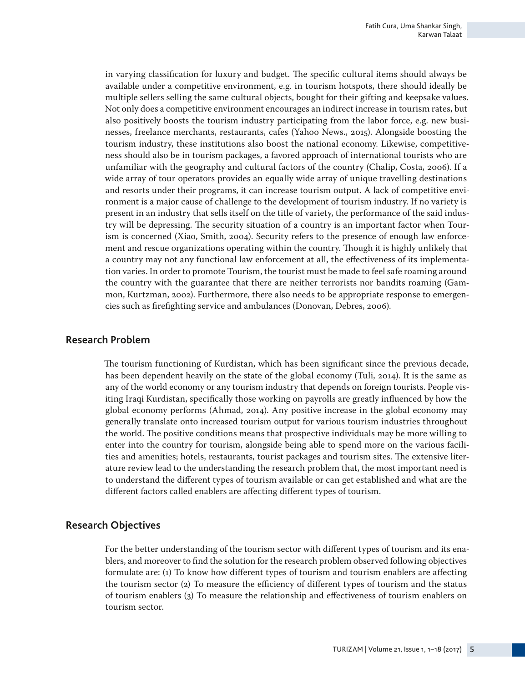in varying classification for luxury and budget. The specific cultural items should always be available under a competitive environment, e.g. in tourism hotspots, there should ideally be multiple sellers selling the same cultural objects, bought for their gifting and keepsake values. Not only does a competitive environment encourages an indirect increase in tourism rates, but also positively boosts the tourism industry participating from the labor force, e.g. new businesses, freelance merchants, restaurants, cafes (Yahoo News., 2015). Alongside boosting the tourism industry, these institutions also boost the national economy. Likewise, competitiveness should also be in tourism packages, a favored approach of international tourists who are unfamiliar with the geography and cultural factors of the country (Chalip, Costa, 2006). If a wide array of tour operators provides an equally wide array of unique travelling destinations and resorts under their programs, it can increase tourism output. A lack of competitive environment is a major cause of challenge to the development of tourism industry. If no variety is present in an industry that sells itself on the title of variety, the performance of the said industry will be depressing. The security situation of a country is an important factor when Tourism is concerned (Xiao, Smith, 2004). Security refers to the presence of enough law enforcement and rescue organizations operating within the country. Though it is highly unlikely that a country may not any functional law enforcement at all, the effectiveness of its implementation varies. In order to promote Tourism, the tourist must be made to feel safe roaming around the country with the guarantee that there are neither terrorists nor bandits roaming (Gammon, Kurtzman, 2002). Furthermore, there also needs to be appropriate response to emergencies such as firefighting service and ambulances (Donovan, Debres, 2006).

### **Research Problem**

The tourism functioning of Kurdistan, which has been significant since the previous decade, has been dependent heavily on the state of the global economy (Tuli, 2014). It is the same as any of the world economy or any tourism industry that depends on foreign tourists. People visiting Iraqi Kurdistan, specifically those working on payrolls are greatly influenced by how the global economy performs (Ahmad, 2014). Any positive increase in the global economy may generally translate onto increased tourism output for various tourism industries throughout the world. The positive conditions means that prospective individuals may be more willing to enter into the country for tourism, alongside being able to spend more on the various facilities and amenities; hotels, restaurants, tourist packages and tourism sites. The extensive literature review lead to the understanding the research problem that, the most important need is to understand the different types of tourism available or can get established and what are the different factors called enablers are affecting different types of tourism.

### **Research Objectives**

For the better understanding of the tourism sector with different types of tourism and its enablers, and moreover to find the solution for the research problem observed following objectives formulate are: (1) To know how different types of tourism and tourism enablers are affecting the tourism sector (2) To measure the efficiency of different types of tourism and the status of tourism enablers (3) To measure the relationship and effectiveness of tourism enablers on tourism sector.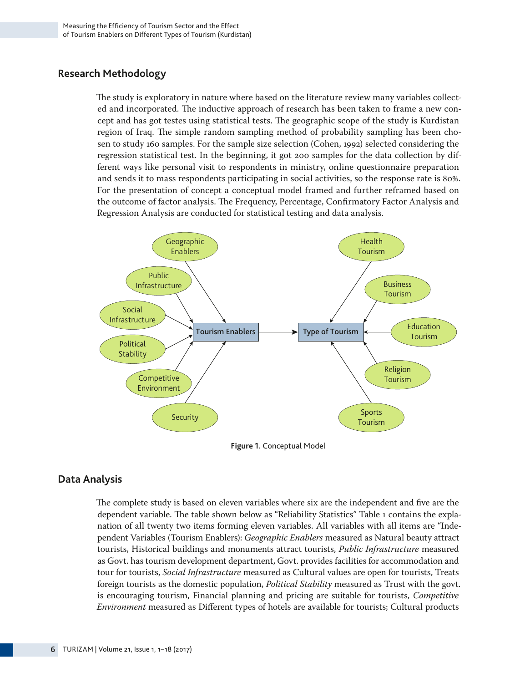### **Research Methodology**

The study is exploratory in nature where based on the literature review many variables collected and incorporated. The inductive approach of research has been taken to frame a new concept and has got testes using statistical tests. The geographic scope of the study is Kurdistan region of Iraq. The simple random sampling method of probability sampling has been chosen to study 160 samples. For the sample size selection (Cohen, 1992) selected considering the regression statistical test. In the beginning, it got 200 samples for the data collection by different ways like personal visit to respondents in ministry, online questionnaire preparation and sends it to mass respondents participating in social activities, so the response rate is 80%. For the presentation of concept a conceptual model framed and further reframed based on the outcome of factor analysis. The Frequency, Percentage, Confirmatory Factor Analysis and Regression Analysis are conducted for statistical testing and data analysis.



**Figure 1.** Conceptual Model

### **Data Analysis**

The complete study is based on eleven variables where six are the independent and five are the dependent variable. The table shown below as "Reliability Statistics" Table 1 contains the explanation of all twenty two items forming eleven variables. All variables with all items are "Independent Variables (Tourism Enablers): *Geographic Enablers* measured as Natural beauty attract tourists, Historical buildings and monuments attract tourists, *Public Infrastructure* measured as Govt. has tourism development department, Govt. provides facilities for accommodation and tour for tourists, *Social Infrastructure* measured as Cultural values are open for tourists, Treats foreign tourists as the domestic population, *Political Stability* measured as Trust with the govt. is encouraging tourism, Financial planning and pricing are suitable for tourists, *Competitive Environment* measured as Different types of hotels are available for tourists; Cultural products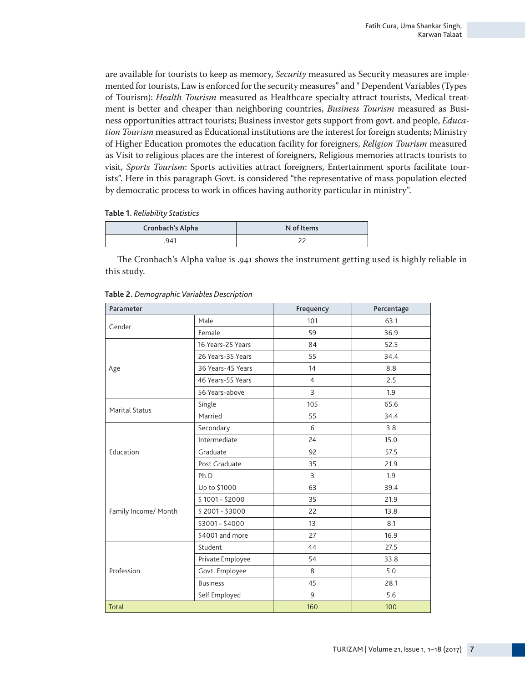are available for tourists to keep as memory, *Security* measured as Security measures are implemented for tourists, Law is enforced for the security measures" and " Dependent Variables (Types of Tourism): *Health Tourism* measured as Healthcare specialty attract tourists, Medical treatment is better and cheaper than neighboring countries, *Business Tourism* measured as Business opportunities attract tourists; Business investor gets support from govt. and people, *Education Tourism* measured as Educational institutions are the interest for foreign students; Ministry of Higher Education promotes the education facility for foreigners, *Religion Tourism* measured as Visit to religious places are the interest of foreigners, Religious memories attracts tourists to visit, *Sports Tourism*: Sports activities attract foreigners, Entertainment sports facilitate tourists". Here in this paragraph Govt. is considered "the representative of mass population elected by democratic process to work in offices having authority particular in ministry".

**Table 1.** *Reliability Statistics*

| Cronbach's Alpha | N of Items |
|------------------|------------|
| 941              |            |

The Cronbach's Alpha value is .941 shows the instrument getting used is highly reliable in this study.

| Parameter             |                   | Frequency      | Percentage |
|-----------------------|-------------------|----------------|------------|
| Male<br>Gender        |                   | 101            | 63.1       |
|                       | Female            | 59             | 36.9       |
|                       | 16 Years-25 Years | 84             | 52.5       |
|                       | 26 Years-35 Years | 55             | 34.4       |
| Age                   | 36 Years-45 Years | 14             | 8.8        |
|                       | 46 Years-55 Years | $\overline{4}$ | 2.5        |
|                       | 56 Years-above    | 3              | 1.9        |
| <b>Marital Status</b> | Single            | 105            | 65.6       |
|                       | Married           | 55             | 34.4       |
|                       | Secondary         | 6              | 3.8        |
|                       | Intermediate      | 24             | 15.0       |
| Education             | Graduate          | 92             | 57.5       |
|                       | Post Graduate     | 35             | 21.9       |
|                       | Ph.D              | 3              | 1.9        |
|                       | Up to \$1000      | 63             | 39.4       |
|                       | $$1001 - $2000$   | 35             | 21.9       |
| Family Income/ Month  | $$2001 - $3000$   | 22             | 13.8       |
|                       | \$3001 - \$4000   | 13             | 8.1        |
|                       | \$4001 and more   | 27             | 16.9       |
|                       | Student           | 44             | 27.5       |
|                       | Private Employee  | 54             | 33.8       |
| Profession            | Govt. Employee    | 8              | 5.0        |
|                       | <b>Business</b>   | 45             | 28.1       |
|                       | Self Employed     | 9              | 5.6        |
| <b>Total</b>          |                   | 160            | 100        |

**Table 2.** *Demographic Variables Description*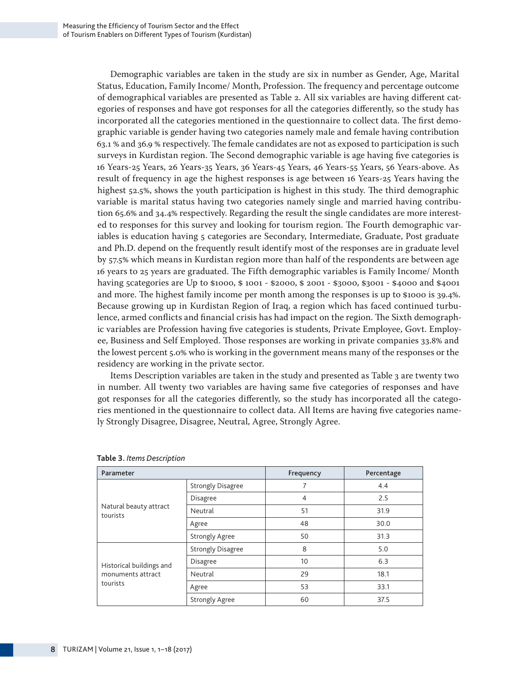Demographic variables are taken in the study are six in number as Gender, Age, Marital Status, Education, Family Income/ Month, Profession. The frequency and percentage outcome of demographical variables are presented as Table 2. All six variables are having different categories of responses and have got responses for all the categories differently, so the study has incorporated all the categories mentioned in the questionnaire to collect data. The first demographic variable is gender having two categories namely male and female having contribution 63.1 % and 36.9 % respectively. The female candidates are not as exposed to participation is such surveys in Kurdistan region. The Second demographic variable is age having five categories is 16 Years-25 Years, 26 Years-35 Years, 36 Years-45 Years, 46 Years-55 Years, 56 Years-above. As result of frequency in age the highest responses is age between 16 Years-25 Years having the highest 52.5%, shows the youth participation is highest in this study. The third demographic variable is marital status having two categories namely single and married having contribution 65.6% and 34.4% respectively. Regarding the result the single candidates are more interested to responses for this survey and looking for tourism region. The Fourth demographic variables is education having 5 categories are Secondary, Intermediate, Graduate, Post graduate and Ph.D. depend on the frequently result identify most of the responses are in graduate level by 57.5% which means in Kurdistan region more than half of the respondents are between age 16 years to 25 years are graduated. The Fifth demographic variables is Family Income/ Month having 5categories are Up to \$1000, \$ 1001 - \$2000, \$ 2001 - \$3000, \$3001 - \$4000 and \$4001 and more. The highest family income per month among the responses is up to \$1000 is 39.4%. Because growing up in Kurdistan Region of Iraq, a region which has faced continued turbulence, armed conflicts and financial crisis has had impact on the region. The Sixth demographic variables are Profession having five categories is students, Private Employee, Govt. Employee, Business and Self Employed. Those responses are working in private companies 33.8% and the lowest percent 5.0% who is working in the government means many of the responses or the residency are working in the private sector.

Items Description variables are taken in the study and presented as Table 3 are twenty two in number. All twenty two variables are having same five categories of responses and have got responses for all the categories differently, so the study has incorporated all the categories mentioned in the questionnaire to collect data. All Items are having five categories namely Strongly Disagree, Disagree, Neutral, Agree, Strongly Agree.

| Parameter                          |                          | Frequency      | Percentage |
|------------------------------------|--------------------------|----------------|------------|
|                                    | <b>Strongly Disagree</b> |                | 4.4        |
|                                    | <b>Disagree</b>          | $\overline{4}$ | 2.5        |
| Natural beauty attract<br>tourists | Neutral                  | 51             | 31.9       |
|                                    | Agree                    | 48             | 30.0       |
|                                    | <b>Strongly Agree</b>    | 50             | 31.3       |
|                                    | <b>Strongly Disagree</b> | 8              | 5.0        |
| Historical buildings and           | <b>Disagree</b>          | 10             | 6.3        |
| monuments attract                  | Neutral                  | 29             | 18.1       |
| tourists                           | Agree                    | 53             | 33.1       |
|                                    | <b>Strongly Agree</b>    | 60             | 37.5       |

|  |  | Table 3. Items Description |
|--|--|----------------------------|
|--|--|----------------------------|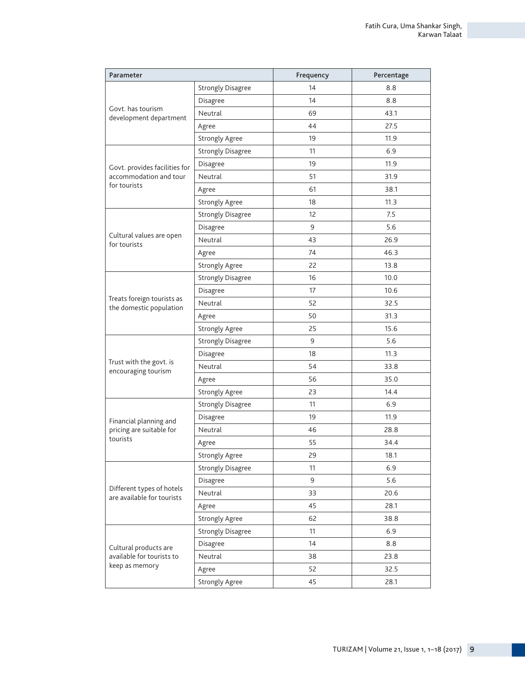| Parameter                                               |                          | Frequency | Percentage |
|---------------------------------------------------------|--------------------------|-----------|------------|
|                                                         | <b>Strongly Disagree</b> | 14        | 8.8        |
|                                                         | Disagree                 | 14        | 8.8        |
| Govt. has tourism<br>development department             | Neutral                  | 69        | 43.1       |
|                                                         | Agree                    | 44        | 27.5       |
|                                                         | <b>Strongly Agree</b>    | 19        | 11.9       |
|                                                         | <b>Strongly Disagree</b> | 11        | 6.9        |
| Govt. provides facilities for                           | Disagree                 | 19        | 11.9       |
| accommodation and tour                                  | Neutral                  | 51        | 31.9       |
| for tourists                                            | Agree                    | 61        | 38.1       |
|                                                         | <b>Strongly Agree</b>    | 18        | 11.3       |
|                                                         | <b>Strongly Disagree</b> | 12        | 7.5        |
|                                                         | Disagree                 | 9         | 5.6        |
| Cultural values are open<br>for tourists                | Neutral                  | 43        | 26.9       |
|                                                         | Agree                    | 74        | 46.3       |
|                                                         | <b>Strongly Agree</b>    | 22        | 13.8       |
|                                                         | <b>Strongly Disagree</b> | 16        | 10.0       |
|                                                         | Disagree                 | 17        | 10.6       |
| Treats foreign tourists as<br>the domestic population   | Neutral                  | 52        | 32.5       |
|                                                         | Agree                    | 50        | 31.3       |
|                                                         | <b>Strongly Agree</b>    | 25        | 15.6       |
|                                                         | <b>Strongly Disagree</b> | 9         | 5.6        |
|                                                         | Disagree                 | 18        | 11.3       |
| Trust with the govt. is<br>encouraging tourism          | Neutral                  | 54        | 33.8       |
|                                                         | Agree                    | 56        | 35.0       |
|                                                         | Strongly Agree           | 23        | 14.4       |
|                                                         | <b>Strongly Disagree</b> | 11        | 6.9        |
| Financial planning and                                  | Disagree                 | 19        | 11.9       |
| pricing are suitable for                                | Neutral                  | 46        | 28.8       |
| tourists                                                | Agree                    | 55        | 34.4       |
|                                                         | Strongly Agree           | 29        | 18.1       |
|                                                         | <b>Strongly Disagree</b> | 11        | 6.9        |
|                                                         | Disagree                 | 9         | 5.6        |
| Different types of hotels<br>are available for tourists | Neutral                  | 33        | 20.6       |
|                                                         | Agree                    | 45        | 28.1       |
|                                                         | Strongly Agree           | 62        | 38.8       |
|                                                         | <b>Strongly Disagree</b> | 11        | 6.9        |
| Cultural products are                                   | Disagree                 | 14        | 8.8        |
| available for tourists to                               | Neutral                  | 38        | 23.8       |
| keep as memory                                          | Agree                    | 52        | 32.5       |
|                                                         | <b>Strongly Agree</b>    | 45        | 28.1       |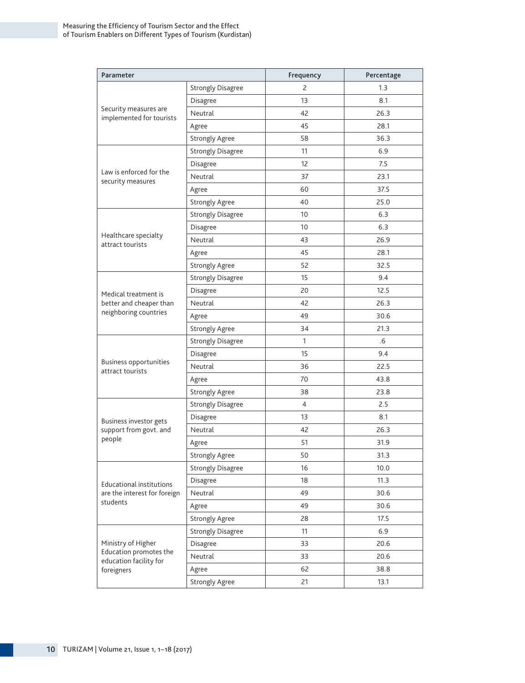| Parameter                                         |                          | Frequency      | Percentage |
|---------------------------------------------------|--------------------------|----------------|------------|
|                                                   | <b>Strongly Disagree</b> | $\overline{c}$ | 1.3        |
|                                                   | Disagree                 | 13             | 8.1        |
| Security measures are<br>implemented for tourists | Neutral                  | 42             | 26.3       |
|                                                   | Agree                    | 45             | 28.1       |
|                                                   | <b>Strongly Agree</b>    | 58             | 36.3       |
|                                                   | <b>Strongly Disagree</b> | 11             | 6.9        |
|                                                   | Disagree                 | 12             | 7.5        |
| Law is enforced for the<br>security measures      | Neutral                  | 37             | 23.1       |
|                                                   | Agree                    | 60             | 37.5       |
|                                                   | Strongly Agree           | 40             | 25.0       |
|                                                   | <b>Strongly Disagree</b> | 10             | 6.3        |
|                                                   | Disagree                 | 10             | 6.3        |
| Healthcare specialty<br>attract tourists          | Neutral                  | 43             | 26.9       |
|                                                   | Agree                    | 45             | 28.1       |
|                                                   | Strongly Agree           | 52             | 32.5       |
|                                                   | <b>Strongly Disagree</b> | 15             | 9.4        |
| Medical treatment is                              | Disagree                 | 20             | 12.5       |
| better and cheaper than                           | Neutral                  | 42             | 26.3       |
| neighboring countries                             | Agree                    | 49             | 30.6       |
|                                                   | Strongly Agree           | 34             | 21.3       |
|                                                   | <b>Strongly Disagree</b> | 1              | .6         |
|                                                   | Disagree                 | 15             | 9.4        |
| Business opportunities<br>attract tourists        | Neutral                  | 36             | 22.5       |
|                                                   | Agree                    | 70             | 43.8       |
|                                                   | Strongly Agree           | 38             | 23.8       |
|                                                   | <b>Strongly Disagree</b> | $\overline{4}$ | 2.5        |
| Business investor gets                            | Disagree                 | 13             | 8.1        |
| support from govt. and                            | Neutral                  | 42             | 26.3       |
| people                                            | Agree                    | 51             | 31.9       |
|                                                   | <b>Strongly Agree</b>    | 50             | 31.3       |
|                                                   | <b>Strongly Disagree</b> | 16             | 10.0       |
| Educational institutions                          | Disagree                 | 18             | 11.3       |
| are the interest for foreign                      | Neutral                  | 49             | 30.6       |
| students                                          | Agree                    | 49             | 30.6       |
|                                                   | <b>Strongly Agree</b>    | 28             | 17.5       |
|                                                   | <b>Strongly Disagree</b> | 11             | 6.9        |
| Ministry of Higher                                | Disagree                 | 33             | 20.6       |
| Education promotes the<br>education facility for  | Neutral                  | 33             | 20.6       |
| foreigners                                        | Agree                    | 62             | 38.8       |
|                                                   | <b>Strongly Agree</b>    | 21             | 13.1       |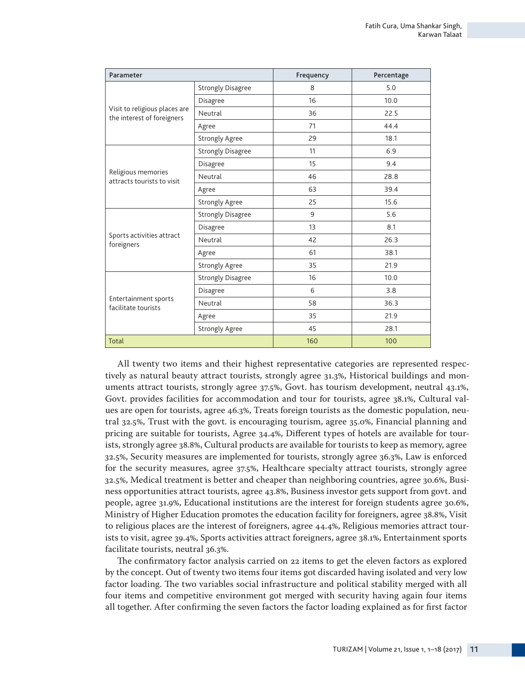| Parameter                                                   |                          | Frequency | Percentage |
|-------------------------------------------------------------|--------------------------|-----------|------------|
|                                                             | <b>Strongly Disagree</b> | 8         | 5.0        |
|                                                             | Disagree                 | 16        | 10.0       |
| Visit to religious places are<br>the interest of foreigners | Neutral                  | 36        | 22.5       |
|                                                             | Agree                    | 71        | 44.4       |
|                                                             | <b>Strongly Agree</b>    | 29        | 18.1       |
|                                                             | <b>Strongly Disagree</b> | 11        | 6.9        |
|                                                             | Disagree                 | 15        | 9.4        |
| Religious memories<br>attracts tourists to visit            | Neutral                  | 46        | 28.8       |
|                                                             | Agree                    | 63        | 39.4       |
|                                                             | <b>Strongly Agree</b>    | 25        | 15.6       |
|                                                             | <b>Strongly Disagree</b> | 9         | 5.6        |
|                                                             | Disagree                 | 13        | 8.1        |
| Sports activities attract<br>foreigners                     | Neutral                  | 42        | 26.3       |
|                                                             | Agree                    | 61        | 38.1       |
|                                                             | <b>Strongly Agree</b>    | 35        | 21.9       |
|                                                             | <b>Strongly Disagree</b> | 16        | 10.0       |
|                                                             | Disagree                 | 6         | 3.8        |
| Entertainment sports<br>facilitate tourists                 | Neutral                  | 58        | 36.3       |
|                                                             | Agree                    | 35        | 21.9       |
|                                                             | <b>Strongly Agree</b>    | 45        | 28.1       |
| <b>Total</b>                                                |                          | 160       | 100        |

All twenty two items and their highest representative categories are represented respectively as natural beauty attract tourists, strongly agree 31.3%, Historical buildings and monuments attract tourists, strongly agree 37.5%, Govt. has tourism development, neutral 43.1%, Govt. provides facilities for accommodation and tour for tourists, agree 38.1%, Cultural values are open for tourists, agree 46.3%, Treats foreign tourists as the domestic population, neutral 32.5%, Trust with the govt. is encouraging tourism, agree 35.0%, Financial planning and pricing are suitable for tourists, Agree 34.4%, Different types of hotels are available for tourists, strongly agree 38.8%, Cultural products are available for tourists to keep as memory, agree 32.5%, Security measures are implemented for tourists, strongly agree 36.3%, Law is enforced for the security measures, agree 37.5%, Healthcare specialty attract tourists, strongly agree 32.5%, Medical treatment is better and cheaper than neighboring countries, agree 30.6%, Business opportunities attract tourists, agree 43.8%, Business investor gets support from govt. and people, agree 31.9%, Educational institutions are the interest for foreign students agree 30.6%, Ministry of Higher Education promotes the education facility for foreigners, agree 38.8%, Visit to religious places are the interest of foreigners, agree 44.4%, Religious memories attract tourists to visit, agree 39.4%, Sports activities attract foreigners, agree 38.1%, Entertainment sports facilitate tourists, neutral 36.3%.

The confirmatory factor analysis carried on 22 items to get the eleven factors as explored by the concept. Out of twenty two items four items got discarded having isolated and very low factor loading. The two variables social infrastructure and political stability merged with all four items and competitive environment got merged with security having again four items all together. After confirming the seven factors the factor loading explained as for first factor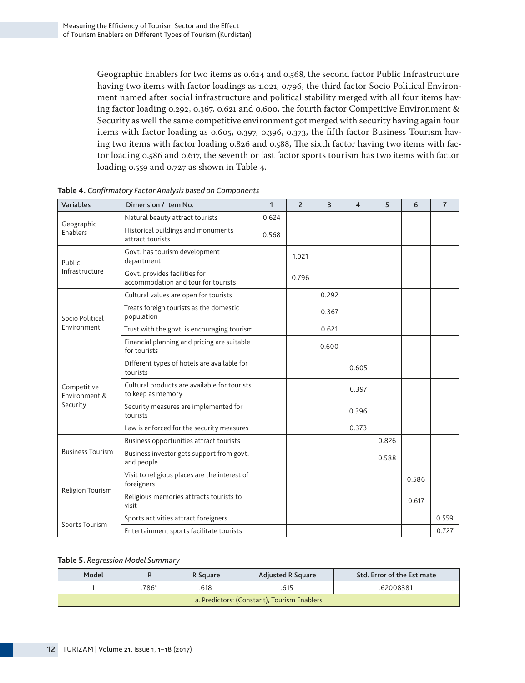Geographic Enablers for two items as 0.624 and 0.568, the second factor Public Infrastructure having two items with factor loadings as 1.021, 0.796, the third factor Socio Political Environment named after social infrastructure and political stability merged with all four items having factor loading 0.292, 0.367, 0.621 and 0.600, the fourth factor Competitive Environment & Security as well the same competitive environment got merged with security having again four items with factor loading as 0.605, 0.397, 0.396, 0.373, the fifth factor Business Tourism having two items with factor loading 0.826 and 0.588, The sixth factor having two items with factor loading 0.586 and 0.617, the seventh or last factor sports tourism has two items with factor loading 0.559 and 0.727 as shown in Table 4.

| Variables<br>Dimension / Item No. |                                                                      | $\mathbf{1}$ | $\overline{2}$ | 3     | 4     | 5     | 6     | $\overline{7}$ |
|-----------------------------------|----------------------------------------------------------------------|--------------|----------------|-------|-------|-------|-------|----------------|
|                                   | Natural beauty attract tourists                                      | 0.624        |                |       |       |       |       |                |
| Geographic<br>Enablers            | Historical buildings and monuments<br>attract tourists               | 0.568        |                |       |       |       |       |                |
| Public                            | Govt. has tourism development<br>department                          |              | 1.021          |       |       |       |       |                |
| Infrastructure                    | Govt. provides facilities for<br>accommodation and tour for tourists |              | 0.796          |       |       |       |       |                |
|                                   | Cultural values are open for tourists                                |              |                | 0.292 |       |       |       |                |
| Socio Political                   | Treats foreign tourists as the domestic<br>population                |              |                | 0.367 |       |       |       |                |
| Environment                       | Trust with the govt. is encouraging tourism                          |              |                | 0.621 |       |       |       |                |
|                                   | Financial planning and pricing are suitable<br>for tourists          |              |                | 0.600 |       |       |       |                |
| Competitive<br>Environment &      | Different types of hotels are available for<br>tourists              |              |                |       | 0.605 |       |       |                |
|                                   | Cultural products are available for tourists<br>to keep as memory    |              |                |       | 0.397 |       |       |                |
| Security                          | Security measures are implemented for<br>tourists                    |              |                |       | 0.396 |       |       |                |
|                                   | Law is enforced for the security measures                            |              |                |       | 0.373 |       |       |                |
|                                   | Business opportunities attract tourists                              |              |                |       |       | 0.826 |       |                |
| <b>Business Tourism</b>           | Business investor gets support from govt.<br>and people              |              |                |       |       | 0.588 |       |                |
|                                   | Visit to religious places are the interest of<br>foreigners          |              |                |       |       |       | 0.586 |                |
| Religion Tourism                  | Religious memories attracts tourists to<br>visit                     |              | 0.617          |       |       |       |       |                |
| Sports Tourism                    | Sports activities attract foreigners                                 |              |                |       |       |       |       | 0.559          |
|                                   | Entertainment sports facilitate tourists                             |              |                |       |       |       |       | 0.727          |

|  |  | Table 4. Confirmatory Factor Analysis based on Components |
|--|--|-----------------------------------------------------------|
|  |  |                                                           |

#### **Table 5.** *Regression Model Summary*

| Model                                       |                  | R Square | <b>Adjusted R Square</b> | Std. Error of the Estimate |  |  |  |
|---------------------------------------------|------------------|----------|--------------------------|----------------------------|--|--|--|
|                                             | 786 <sup>a</sup> | 618      | .615                     | .62008381                  |  |  |  |
| a. Predictors: (Constant), Tourism Enablers |                  |          |                          |                            |  |  |  |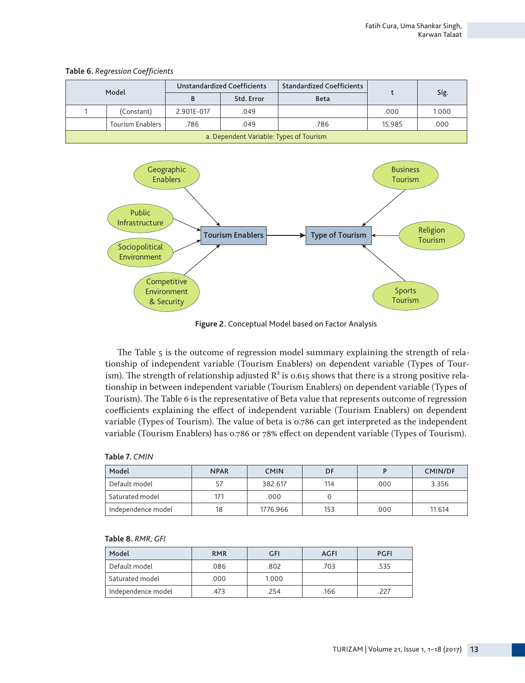|                                         | Model            |            | <b>Unstandardized Coefficients</b> | <b>Standardized Coefficients</b> |        | Sig.  |  |  |
|-----------------------------------------|------------------|------------|------------------------------------|----------------------------------|--------|-------|--|--|
|                                         |                  |            | Std. Error                         | <b>Beta</b>                      |        |       |  |  |
| (Constant)                              |                  | 2.901E-017 | .049                               |                                  | .000   | 1.000 |  |  |
|                                         | Tourism Enablers | .786       | .049                               | .786                             | 15.985 | .000  |  |  |
| a. Dependent Variable: Types of Tourism |                  |            |                                    |                                  |        |       |  |  |

**Table 6.** *Regression Coefficients*



**Figure 2.** Conceptual Model based on Factor Analysis

The Table 5 is the outcome of regression model summary explaining the strength of relationship of independent variable (Tourism Enablers) on dependent variable (Types of Tourism). The strength of relationship adjusted  $R^2$  is 0.615 shows that there is a strong positive relationship in between independent variable (Tourism Enablers) on dependent variable (Types of Tourism). The Table 6 is the representative of Beta value that represents outcome of regression coefficients explaining the effect of independent variable (Tourism Enablers) on dependent variable (Types of Tourism). The value of beta is 0.786 can get interpreted as the independent variable (Tourism Enablers) has 0.786 or 78% effect on dependent variable (Types of Tourism).

| Model              | <b>NPAR</b> | <b>CMIN</b> | DF  |      | <b>CMIN/DF</b> |
|--------------------|-------------|-------------|-----|------|----------------|
| Default model      |             | 382.617     | 114 | .000 | 3.356          |
| Saturated model    | 171         | .000        |     |      |                |
| Independence model | 18          | 1776.966    | 153 | .000 | 11.614         |

| Delautt model      |    | 304.017  | ''4 |
|--------------------|----|----------|-----|
| Saturated model    |    | .000     |     |
| Independence model | 18 | 1776.966 | 153 |
|                    |    |          |     |

| Model              | <b>RMR</b> | GFI   | AGFI | <b>PGFI</b> |
|--------------------|------------|-------|------|-------------|
| Default model      | .086       | .802  | .703 | .535        |
| Saturated model    | .000       | 1.000 |      |             |
| Independence model | .473       | .254  | .166 | 227         |

#### **Table 8.** *RMR, GFI*

**Table 7.** *CMIN*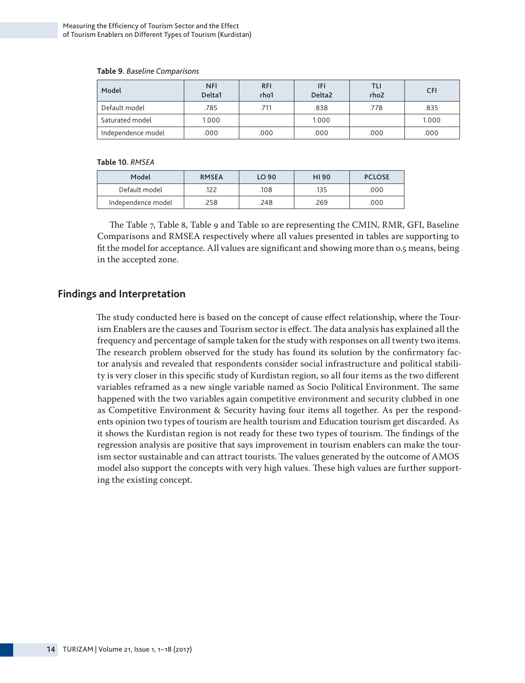| Model              | <b>NFI</b><br>Delta1 | <b>RFI</b><br>rho1 | IFI<br>Delta <sub>2</sub> | TLI<br>rho <sub>2</sub> | <b>CFI</b> |
|--------------------|----------------------|--------------------|---------------------------|-------------------------|------------|
| Default model      | .785                 | .711               | .838                      | .778                    | .835       |
| Saturated model    | 1.000                |                    | 1.000                     |                         | 1.000      |
| Independence model | .000                 | .000               | .000                      | .000                    | .000       |

#### **Table 9.** *Baseline Comparisons*

#### **Table 10.** *RMSEA*

| Model              | <b>RMSEA</b> | LO 90 | HI90 | <b>PCLOSE</b> |
|--------------------|--------------|-------|------|---------------|
| Default model      | 122          | 108   | .135 | .000          |
| Independence model | 258          | 248   | .269 | .000          |

The Table 7, Table 8, Table 9 and Table 10 are representing the CMIN, RMR, GFI, Baseline Comparisons and RMSEA respectively where all values presented in tables are supporting to fit the model for acceptance. All values are significant and showing more than o.5 means, being in the accepted zone.

### **Findings and Interpretation**

The study conducted here is based on the concept of cause effect relationship, where the Tourism Enablers are the causes and Tourism sector is effect. The data analysis has explained all the frequency and percentage of sample taken for the study with responses on all twenty two items. The research problem observed for the study has found its solution by the confirmatory factor analysis and revealed that respondents consider social infrastructure and political stability is very closer in this specific study of Kurdistan region, so all four items as the two different variables reframed as a new single variable named as Socio Political Environment. The same happened with the two variables again competitive environment and security clubbed in one as Competitive Environment & Security having four items all together. As per the respondents opinion two types of tourism are health tourism and Education tourism get discarded. As it shows the Kurdistan region is not ready for these two types of tourism. The findings of the regression analysis are positive that says improvement in tourism enablers can make the tourism sector sustainable and can attract tourists. The values generated by the outcome of AMOS model also support the concepts with very high values. These high values are further supporting the existing concept.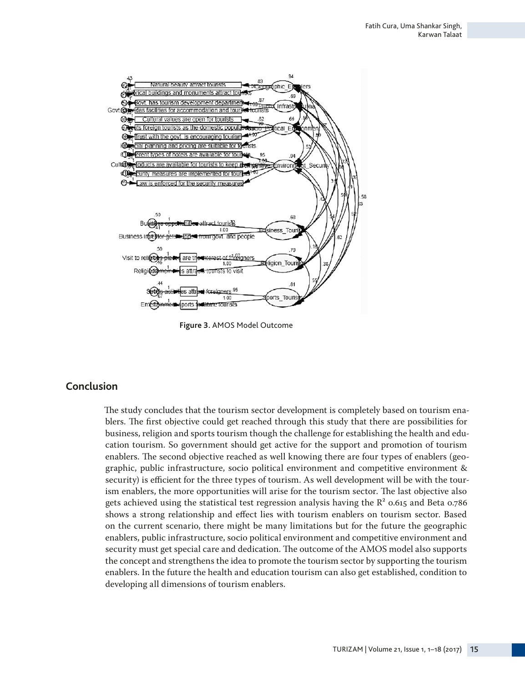

**Figure 3.** AMOS Model Outcome

### **Conclusion**

The study concludes that the tourism sector development is completely based on tourism enablers. The first objective could get reached through this study that there are possibilities for business, religion and sports tourism though the challenge for establishing the health and education tourism. So government should get active for the support and promotion of tourism enablers. The second objective reached as well knowing there are four types of enablers (geographic, public infrastructure, socio political environment and competitive environment & security) is efficient for the three types of tourism. As well development will be with the tourism enablers, the more opportunities will arise for the tourism sector. The last objective also gets achieved using the statistical test regression analysis having the  $R^2$  0.615 and Beta 0.786 shows a strong relationship and effect lies with tourism enablers on tourism sector. Based on the current scenario, there might be many limitations but for the future the geographic enablers, public infrastructure, socio political environment and competitive environment and security must get special care and dedication. The outcome of the AMOS model also supports the concept and strengthens the idea to promote the tourism sector by supporting the tourism enablers. In the future the health and education tourism can also get established, condition to developing all dimensions of tourism enablers.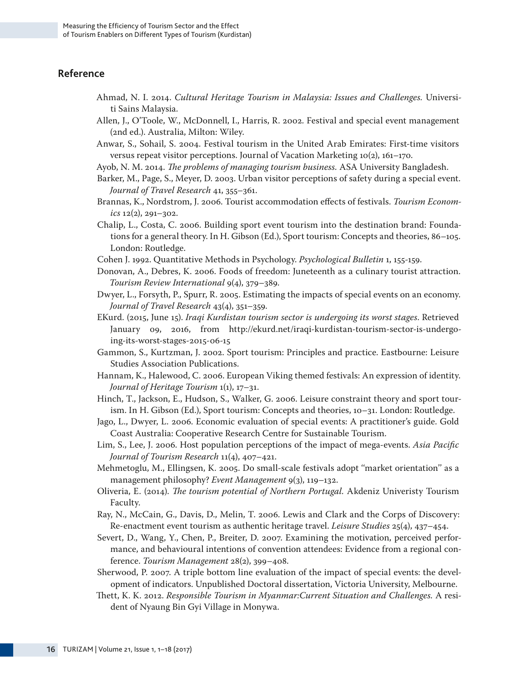### **Reference**

- Ahmad, N. I. 2014. *Cultural Heritage Tourism in Malaysia: Issues and Challenges.* Universiti Sains Malaysia.
- Allen, J., O'Toole, W., McDonnell, I., Harris, R. 2002. Festival and special event management (2nd ed.). Australia, Milton: Wiley.
- Anwar, S., Sohail, S. 2004. Festival tourism in the United Arab Emirates: First-time visitors versus repeat visitor perceptions. Journal of Vacation Marketing 10(2), 161–170.
- Ayob, N. M. 2014. *The problems of managing tourism business.* ASA University Bangladesh.
- Barker, M., Page, S., Meyer, D. 2003. Urban visitor perceptions of safety during a special event. *Journal of Travel Research* 41, 355–361.
- Brannas, K., Nordstrom, J. 2006. Tourist accommodation effects of festivals. *Tourism Economics* 12(2), 291–302.
- Chalip, L., Costa, C. 2006. Building sport event tourism into the destination brand: Foundations for a general theory. In H. Gibson (Ed.), Sport tourism: Concepts and theories, 86–105. London: Routledge.
- Cohen J. 1992. Quantitative Methods in Psychology. *Psychological Bulletin* 1, 155-159.
- Donovan, A., Debres, K. 2006. Foods of freedom: Juneteenth as a culinary tourist attraction. *Tourism Review International* 9(4), 379–389.
- Dwyer, L., Forsyth, P., Spurr, R. 2005. Estimating the impacts of special events on an economy. *Journal of Travel Research* 43(4), 351–359.
- EKurd. (2015, June 15). *Iraqi Kurdistan tourism sector is undergoing its worst stages*. Retrieved January 09, 2016, from http://ekurd.net/iraqi-kurdistan-tourism-sector-is-undergoing-its-worst-stages-2015-06-15
- Gammon, S., Kurtzman, J. 2002. Sport tourism: Principles and practice. Eastbourne: Leisure Studies Association Publications.
- Hannam, K., Halewood, C. 2006. European Viking themed festivals: An expression of identity. *Journal of Heritage Tourism* 1(1), 17–31.
- Hinch, T., Jackson, E., Hudson, S., Walker, G. 2006. Leisure constraint theory and sport tourism. In H. Gibson (Ed.), Sport tourism: Concepts and theories, 10–31. London: Routledge.
- Jago, L., Dwyer, L. 2006. Economic evaluation of special events: A practitioner's guide. Gold Coast Australia: Cooperative Research Centre for Sustainable Tourism.
- Lim, S., Lee, J. 2006. Host population perceptions of the impact of mega-events. *Asia Pacific Journal of Tourism Research* 11(4), 407–421.
- Mehmetoglu, M., Ellingsen, K. 2005. Do small-scale festivals adopt ''market orientation'' as a management philosophy? *Event Management* 9(3), 119–132.
- Oliveria, E. (2014). *The tourism potential of Northern Portugal.* Akdeniz Univeristy Tourism Faculty.
- Ray, N., McCain, G., Davis, D., Melin, T. 2006. Lewis and Clark and the Corps of Discovery: Re-enactment event tourism as authentic heritage travel. *Leisure Studies* 25(4), 437–454.
- Severt, D., Wang, Y., Chen, P., Breiter, D. 2007. Examining the motivation, perceived performance, and behavioural intentions of convention attendees: Evidence from a regional conference. *Tourism Management* 28(2), 399–408.
- Sherwood, P. 2007. A triple bottom line evaluation of the impact of special events: the development of indicators. Unpublished Doctoral dissertation, Victoria University, Melbourne.
- Thett, K. K. 2012. *Responsible Tourism in Myanmar:Current Situation and Challenges.* A resident of Nyaung Bin Gyi Village in Monywa.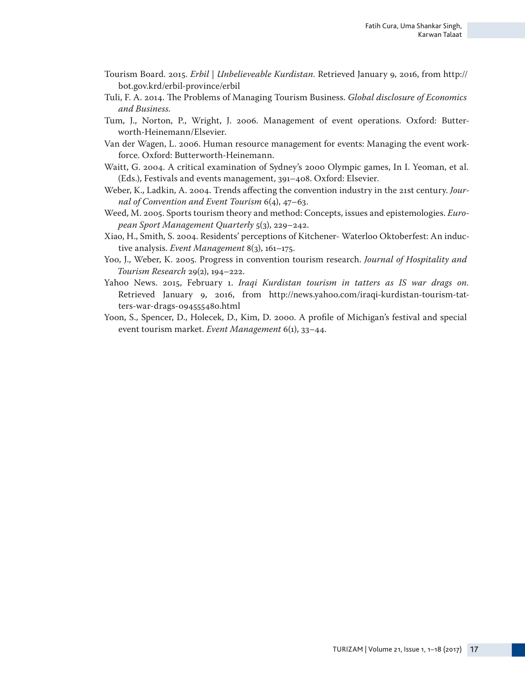- Tourism Board. 2015. *Erbil | Unbelieveable Kurdistan*. Retrieved January 9, 2016, from http:// bot.gov.krd/erbil-province/erbil
- Tuli, F. A. 2014. The Problems of Managing Tourism Business. *Global disclosure of Economics and Business.*
- Tum, J., Norton, P., Wright, J. 2006. Management of event operations. Oxford: Butterworth-Heinemann/Elsevier.
- Van der Wagen, L. 2006. Human resource management for events: Managing the event workforce. Oxford: Butterworth-Heinemann.
- Waitt, G. 2004. A critical examination of Sydney's 2000 Olympic games, In I. Yeoman, et al. (Eds.), Festivals and events management, 391–408. Oxford: Elsevier.
- Weber, K., Ladkin, A. 2004. Trends affecting the convention industry in the 21st century. *Journal of Convention and Event Tourism* 6(4), 47–63.
- Weed, M. 2005. Sports tourism theory and method: Concepts, issues and epistemologies. *European Sport Management Quarterly* 5(3), 229–242.
- Xiao, H., Smith, S. 2004. Residents' perceptions of Kitchener- Waterloo Oktoberfest: An inductive analysis. *Event Management* 8(3), 161–175.
- Yoo, J., Weber, K. 2005. Progress in convention tourism research. *Journal of Hospitality and Tourism Research* 29(2), 194–222.
- Yahoo News. 2015, February 1. *Iraqi Kurdistan tourism in tatters as IS war drags on.*  Retrieved January 9, 2016, from http://news.yahoo.com/iraqi-kurdistan-tourism-tatters-war-drags-094555480.html
- Yoon, S., Spencer, D., Holecek, D., Kim, D. 2000. A profile of Michigan's festival and special event tourism market. *Event Management* 6(1), 33–44.